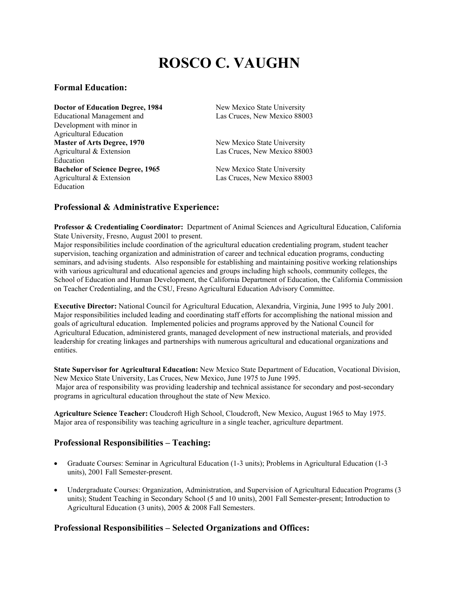# **ROSCO C. VAUGHN**

#### **Formal Education:**

**Doctor of Education Degree, 1984** New Mexico State University Educational Management and Las Cruces, New Mexico 88003 Development with minor in Agricultural Education **Master of Arts Degree, 1970** New Mexico State University Agricultural & Extension Las Cruces, New Mexico 88003 Education **Bachelor of Science Degree, 1965** New Mexico State University Agricultural & Extension Las Cruces, New Mexico 88003 Education

### **Professional & Administrative Experience:**

**Professor & Credentialing Coordinator:** Department of Animal Sciences and Agricultural Education, California State University, Fresno, August 2001 to present.

Major responsibilities include coordination of the agricultural education credentialing program, student teacher supervision, teaching organization and administration of career and technical education programs, conducting seminars, and advising students. Also responsible for establishing and maintaining positive working relationships with various agricultural and educational agencies and groups including high schools, community colleges, the School of Education and Human Development, the California Department of Education, the California Commission on Teacher Credentialing, and the CSU, Fresno Agricultural Education Advisory Committee.

**Executive Director:** National Council for Agricultural Education, Alexandria, Virginia, June 1995 to July 2001. Major responsibilities included leading and coordinating staff efforts for accomplishing the national mission and goals of agricultural education. Implemented policies and programs approved by the National Council for Agricultural Education, administered grants, managed development of new instructional materials, and provided leadership for creating linkages and partnerships with numerous agricultural and educational organizations and entities.

**State Supervisor for Agricultural Education:** New Mexico State Department of Education, Vocational Division, New Mexico State University, Las Cruces, New Mexico, June 1975 to June 1995. Major area of responsibility was providing leadership and technical assistance for secondary and post-secondary programs in agricultural education throughout the state of New Mexico.

**Agriculture Science Teacher:** Cloudcroft High School, Cloudcroft, New Mexico, August 1965 to May 1975. Major area of responsibility was teaching agriculture in a single teacher, agriculture department.

### **Professional Responsibilities – Teaching:**

- Graduate Courses: Seminar in Agricultural Education (1-3 units); Problems in Agricultural Education (1-3 units), 2001 Fall Semester-present.
- Undergraduate Courses: Organization, Administration, and Supervision of Agricultural Education Programs (3 units); Student Teaching in Secondary School (5 and 10 units), 2001 Fall Semester-present; Introduction to Agricultural Education (3 units), 2005 & 2008 Fall Semesters.

### **Professional Responsibilities – Selected Organizations and Offices:**